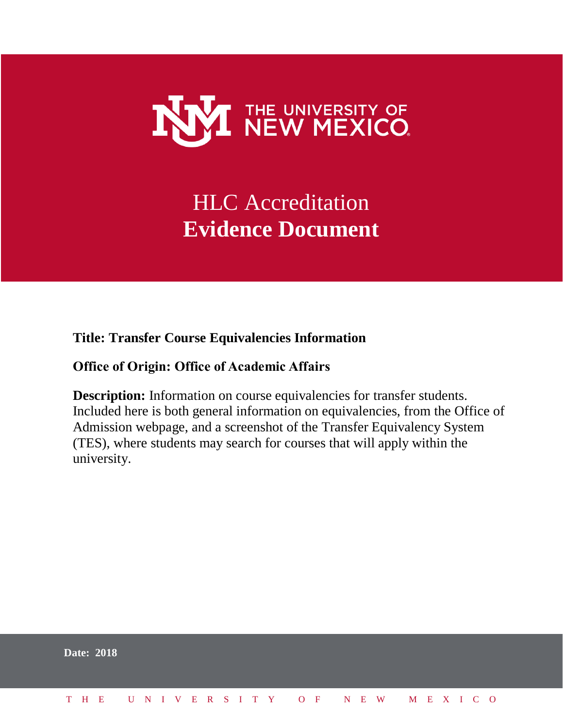

# HLC Accreditation **Evidence Document**

#### **Title: Transfer Course Equivalencies Information**

#### **Office of Origin: Office of Academic Affairs**

**Description:** Information on course equivalencies for transfer students. Included here is both general information on equivalencies, from the Office of Admission webpage, and a screenshot of the Transfer Equivalency System (TES), where students may search for courses that will apply within the university.

|  | <b>Date: 2018</b> |                              |  |  |  |  |  |  |  |  |  |  |  |  |
|--|-------------------|------------------------------|--|--|--|--|--|--|--|--|--|--|--|--|
|  |                   | THE UNIVERSITY OF NEW MEXICO |  |  |  |  |  |  |  |  |  |  |  |  |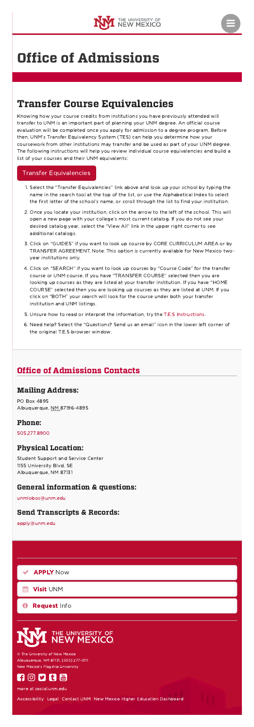



# Office of [Admissions](http://admissions.unm.edu/)

## Office of Admissions Contacts

# Transfer Course Equivalencies

Knowing how your course credits from institutions you have previously attended will transfer to UNM is an important part of planning your UNM degree. An official course evaluation will be completed once you apply for admission to a degree program. Before then, UNM's Transfer Equivalency System (TES) can help you determine how your coursework from other institutions may transfer and be used as part of your UNM degree. The following instructions will help you review individual course equivalencies and build a list of your courses and their UNM equivalents:

#### Transfer [Equivalencies](https://tes.collegesource.com/publicview/TES_publicview01.aspx?rid=956fca42-5a56-4ed1-8edc-b8f0b222cb6f&aid=2c7cb73c-7f03-434d-9191-0fb16a56087f)

Visit [UNM](https://admissions.unm.edu/visit-us/index.html) 鯩

[Request](https://admissions.unm.edu/connect-with-us/request-information.html) Info  $\mathbf \Theta$ 

# **E UNIVERSITY OF**<br>**EW MEXICO**

- 1. Select the "Transfer Equivalencies" link above and look up your school by typing the name in the search tool at the top of the list, or use the Alphabetical Index to select the first letter of the school's name, or scroll through the list to find your institution.
- 2. Once you locate your institution, click on the arrow to the left of the school. This will open a new page with your college's most current catalog. If you do not see your desired catalog year, select the "View All" link in the upper right corner to see additional catalogs.
- 3. Click on "GUIDES" if you want to look up course by CORE CURRICULUM AREA or by TRANSFER AGREEMENT. Note: This option is currently available for New Mexico twoyear institutions only.
- 4. Click on "SEARCH" if you want to look up courses by "Course Code" for the transfer course or UNM course. If you have "TRANSFER COURSE" selected then you are looking up courses as they are listed at your transfer institution. If you have "HOME COURSE" selected then you are looking up courses as they are listed at UNM. If you click on "BOTH" your search will look for the course under both your transfer institution and UNM listings.
- 5. Unsure how to read or interpret the information, try the T.E.S [Instructions.](https://admissions.unm.edu/future-students/TES_Instructions.pdf)
- 6. Need help? Select the "Questions? Send us an email" icon in the lower left corner of the original T.E.S browser window.

## Mailing Address:

PO Box 4895 Albuquerque, NM 87196-4895

#### Phone:

[505.277.8900](tel:5052778900)

## Physical Location:

Student Support and Service Center 1155 University Blvd, SE Albuquerque, NM 87131

## General information & questions:

[unmlobos@unm.edu](mailto:unmlobos@unm.edu)

#### Send Transcripts & Records:

[apply@unm.edu](mailto:apply@unm.edu)

[APPLY](https://www.unm.edu/apply) Now 

© The University of New Mexico Albuquerque, NM 87131, (505) 277-0111 New Mexico's Flagship University



more at [social.unm.edu](http://social.unm.edu/)

[Accessibility](http://www.unm.edu/accessibility.html) [Legal](http://www.unm.edu/legal.html) [Contact](http://www.unm.edu/contactunm.html) UNM New Mexico Higher Education [Dashboard](http://nmhedss2.state.nm.us/Dashboard/index.aspx?ID=21)